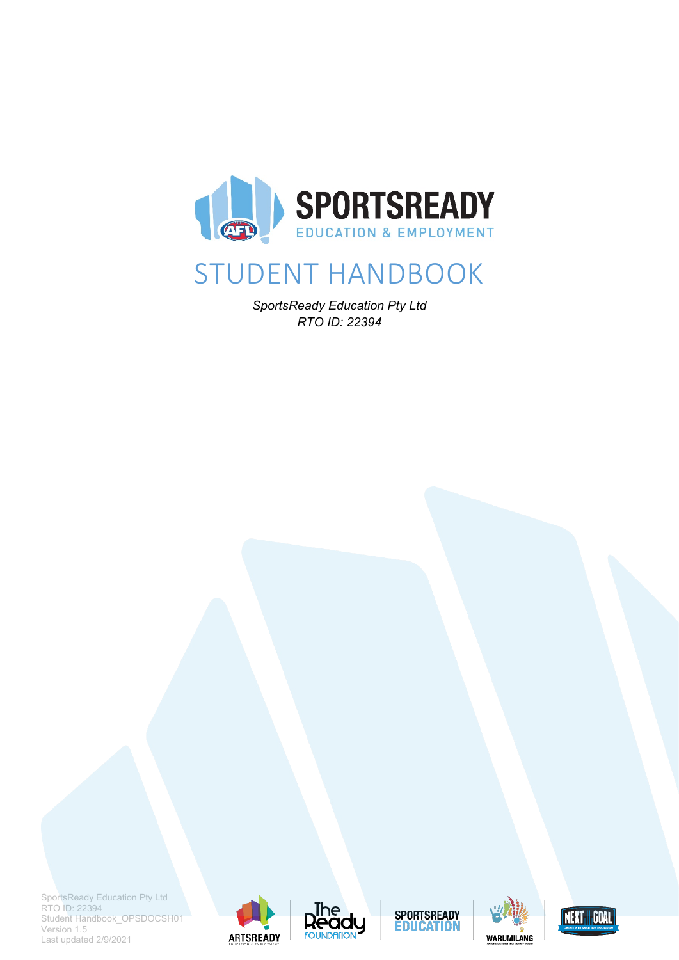

# STUDENT HANDBOOK

*SportsReady Education Pty Ltd RTO ID: 22394*







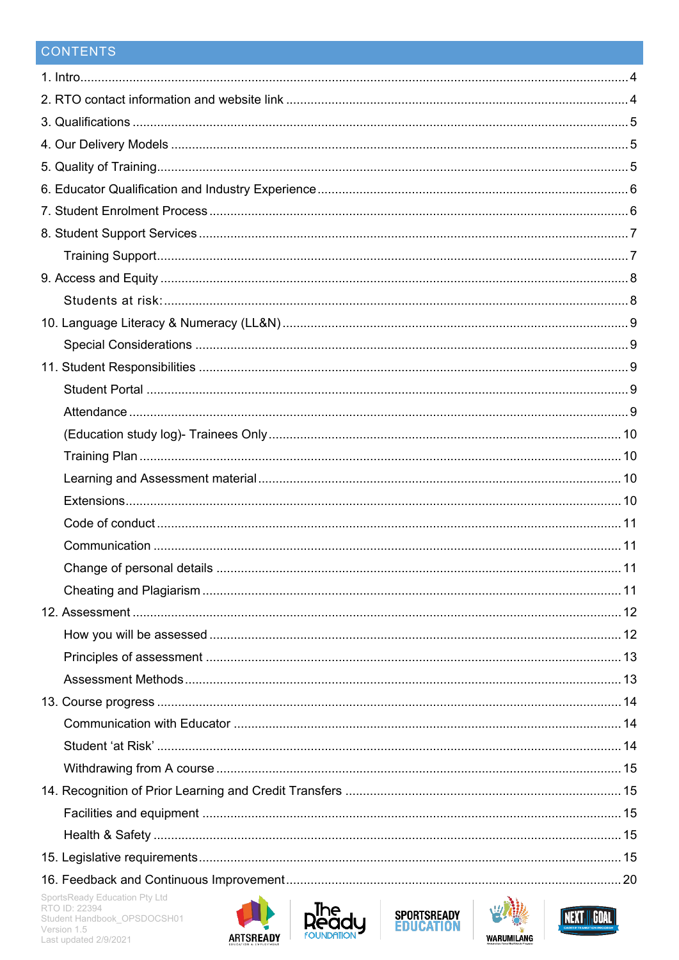# CONTENTS

| SportsReady Education Pty Ltd<br>the contract of the contract of the contract of the contract of the contract of the contract of the contract of |  |
|--------------------------------------------------------------------------------------------------------------------------------------------------|--|







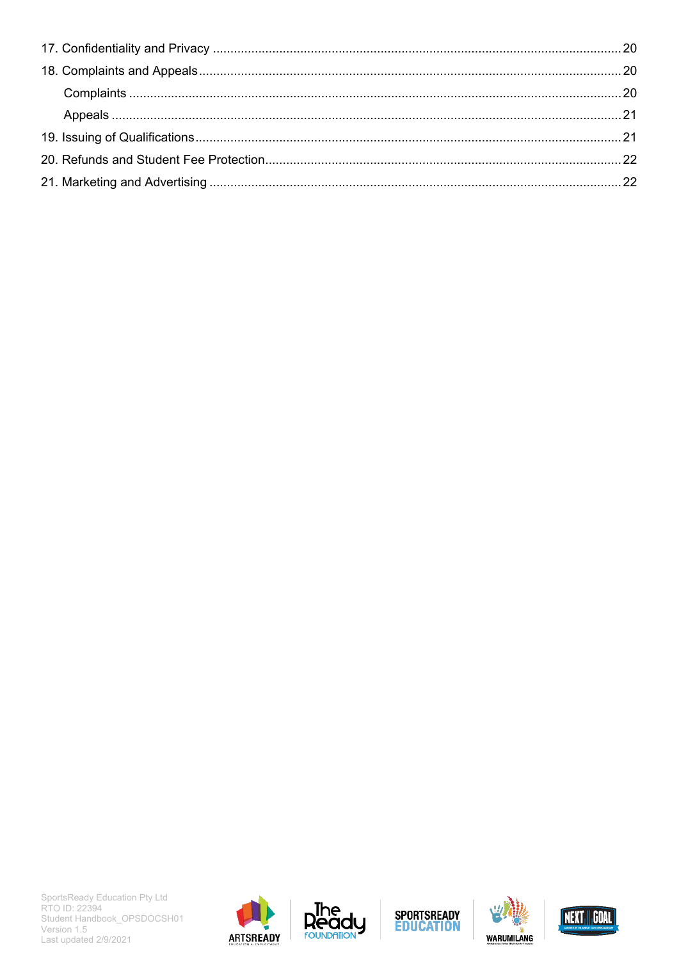







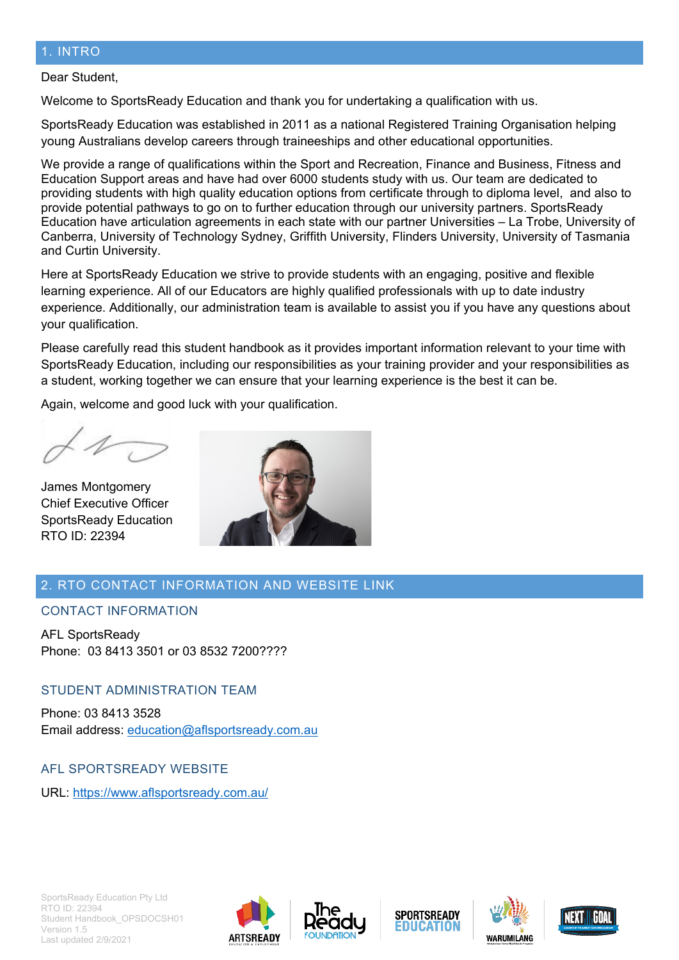#### <span id="page-3-0"></span>1. INTRO

#### Dear Student,

Welcome to SportsReady Education and thank you for undertaking a qualification with us.

SportsReady Education was established in 2011 as a national Registered Training Organisation helping young Australians develop careers through traineeships and other educational opportunities.

We provide a range of qualifications within the Sport and Recreation, Finance and Business, Fitness and Education Support areas and have had over 6000 students study with us. Our team are dedicated to providing students with high quality education options from certificate through to diploma level, and also to provide potential pathways to go on to further education through our university partners. SportsReady Education have articulation agreements in each state with our partner Universities – La Trobe, University of Canberra, University of Technology Sydney, Griffith University, Flinders University, University of Tasmania and Curtin University.

Here at SportsReady Education we strive to provide students with an engaging, positive and flexible learning experience. All of our Educators are highly qualified professionals with up to date industry experience. Additionally, our administration team is available to assist you if you have any questions about your qualification.

Please carefully read this student handbook as it provides important information relevant to your time with SportsReady Education, including our responsibilities as your training provider and your responsibilities as a student, working together we can ensure that your learning experience is the best it can be.

Again, welcome and good luck with your qualification.

James Montgomery Chief Executive Officer SportsReady Education RTO ID: 22394



# <span id="page-3-1"></span>2. RTO CONTACT INFORMATION AND WEBSITE LINK

CONTACT INFORMATION

AFL SportsReady Phone: 03 8413 3501 or 03 8532 7200????

#### STUDENT ADMINISTRATION TEAM

Phone: 03 8413 3528 Email address: [education@aflsportsready.com.au](mailto:education@aflsportsready.com.au)

AFL SPORTSREADY WEBSITE

URL:<https://www.aflsportsready.com.au/>









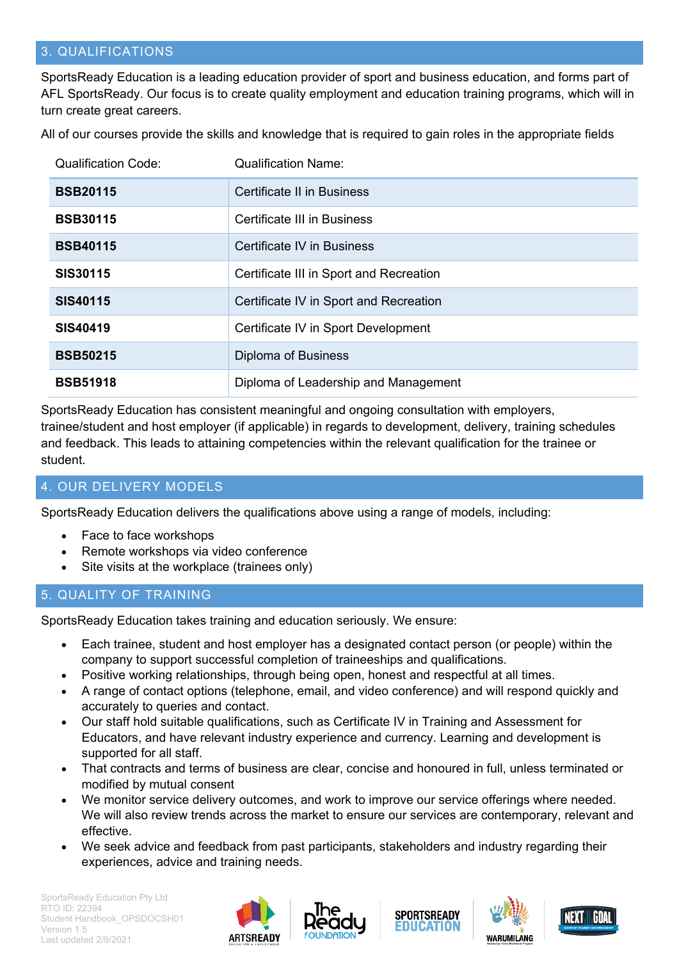# <span id="page-4-0"></span>3. QUALIFICATIONS

SportsReady Education is a leading education provider of sport and business education, and forms part of AFL SportsReady. Our focus is to create quality employment and education training programs, which will in turn create great careers.

All of our courses provide the skills and knowledge that is required to gain roles in the appropriate fields

| <b>Qualification Code:</b> | <b>Qualification Name:</b>              |
|----------------------------|-----------------------------------------|
| <b>BSB20115</b>            | <b>Certificate II in Business</b>       |
| <b>BSB30115</b>            | Certificate III in Business             |
| <b>BSB40115</b>            | Certificate IV in Business              |
| <b>SIS30115</b>            | Certificate III in Sport and Recreation |
| <b>SIS40115</b>            | Certificate IV in Sport and Recreation  |
| SIS40419                   | Certificate IV in Sport Development     |
| <b>BSB50215</b>            | Diploma of Business                     |
| <b>BSB51918</b>            | Diploma of Leadership and Management    |

SportsReady Education has consistent meaningful and ongoing consultation with employers, trainee/student and host employer (if applicable) in regards to development, delivery, training schedules and feedback. This leads to attaining competencies within the relevant qualification for the trainee or student.

### <span id="page-4-1"></span>4. OUR DELIVERY MODELS

SportsReady Education delivers the qualifications above using a range of models, including:

- Face to face workshops
- Remote workshops via video conference
- Site visits at the workplace (trainees only)

#### <span id="page-4-2"></span>5. QUALITY OF TRAINING

SportsReady Education takes training and education seriously. We ensure:

- Each trainee, student and host employer has a designated contact person (or people) within the company to support successful completion of traineeships and qualifications.
- Positive working relationships, through being open, honest and respectful at all times.
- A range of contact options (telephone, email, and video conference) and will respond quickly and accurately to queries and contact.
- Our staff hold suitable qualifications, such as Certificate IV in Training and Assessment for Educators, and have relevant industry experience and currency. Learning and development is supported for all staff.
- That contracts and terms of business are clear, concise and honoured in full, unless terminated or modified by mutual consent
- We monitor service delivery outcomes, and work to improve our service offerings where needed. We will also review trends across the market to ensure our services are contemporary, relevant and effective.
- We seek advice and feedback from past participants, stakeholders and industry regarding their experiences, advice and training needs.







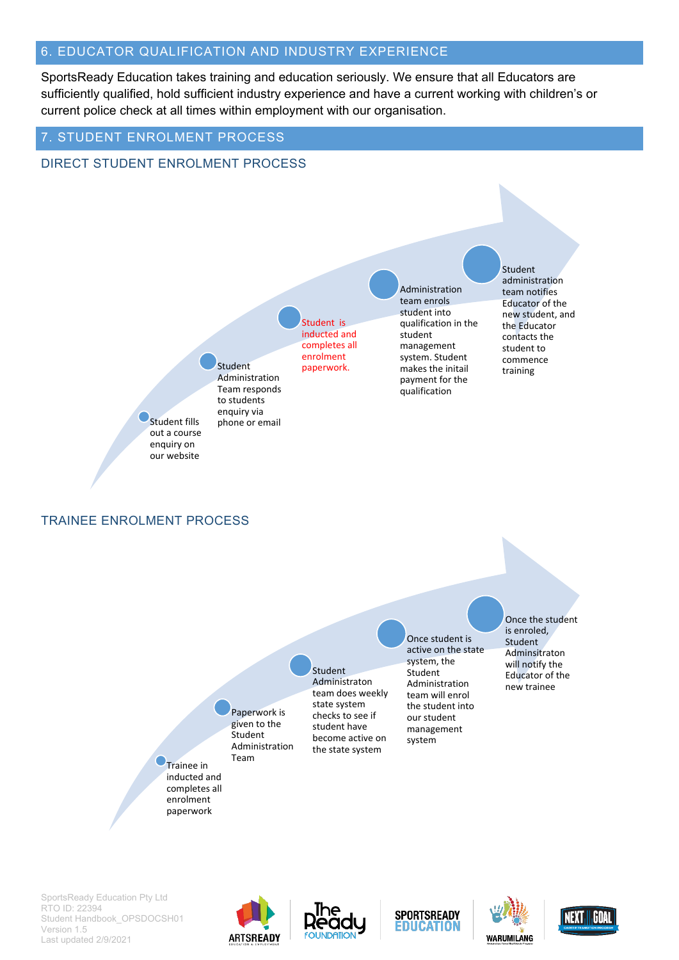### <span id="page-5-0"></span>6. EDUCATOR QUALIFICATION AND INDUSTRY EXPERIENCE

<span id="page-5-1"></span>7. STUDENT ENROLMENT PROCESS

SportsReady Education takes training and education seriously. We ensure that all Educators are sufficiently qualified, hold sufficient industry experience and have a current working with children's or current police check at all times within employment with our organisation.

#### DIRECT STUDENT ENROLMENT PROCESS TRAINEE ENROLMENT PROCESS Trainee in inducted and completes all enrolment paperwork Paperwork is given to the Student Administration Team Student Administraton team does weekly state system checks to see if student have become active on the state system Once student is active on the state system, the Student Administration team will enrol the student into our student management system Once the student is enroled, Student Adminsitraton will notify the Educator of the new trainee Student fills out a course enquiry on our website Student Administration Team responds to students enquiry via phone or email Student is inducted and completes all enrolment paperwork. Administration team enrols student into qualification in the student management system. Student makes the initail payment for the qualification Student administration team notifies Educator of the new student, and the Educator contacts the student to commence training









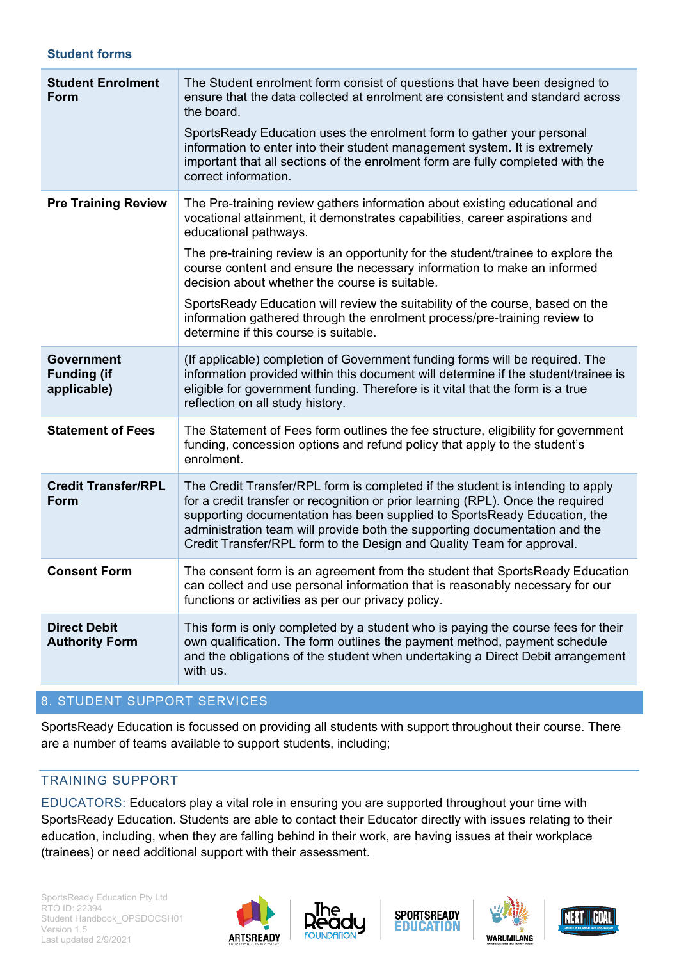#### **Student forms**

| <b>Student Enrolment</b><br>Form                       | The Student enrolment form consist of questions that have been designed to<br>ensure that the data collected at enrolment are consistent and standard across<br>the board.<br>SportsReady Education uses the enrolment form to gather your personal<br>information to enter into their student management system. It is extremely<br>important that all sections of the enrolment form are fully completed with the<br>correct information.                                                                                                                                                                |
|--------------------------------------------------------|------------------------------------------------------------------------------------------------------------------------------------------------------------------------------------------------------------------------------------------------------------------------------------------------------------------------------------------------------------------------------------------------------------------------------------------------------------------------------------------------------------------------------------------------------------------------------------------------------------|
| <b>Pre Training Review</b>                             | The Pre-training review gathers information about existing educational and<br>vocational attainment, it demonstrates capabilities, career aspirations and<br>educational pathways.<br>The pre-training review is an opportunity for the student/trainee to explore the<br>course content and ensure the necessary information to make an informed<br>decision about whether the course is suitable.<br>SportsReady Education will review the suitability of the course, based on the<br>information gathered through the enrolment process/pre-training review to<br>determine if this course is suitable. |
| <b>Government</b><br><b>Funding (if</b><br>applicable) | (If applicable) completion of Government funding forms will be required. The<br>information provided within this document will determine if the student/trainee is<br>eligible for government funding. Therefore is it vital that the form is a true<br>reflection on all study history.                                                                                                                                                                                                                                                                                                                   |
| <b>Statement of Fees</b>                               | The Statement of Fees form outlines the fee structure, eligibility for government<br>funding, concession options and refund policy that apply to the student's<br>enrolment.                                                                                                                                                                                                                                                                                                                                                                                                                               |
| <b>Credit Transfer/RPL</b><br>Form                     | The Credit Transfer/RPL form is completed if the student is intending to apply<br>for a credit transfer or recognition or prior learning (RPL). Once the required<br>supporting documentation has been supplied to SportsReady Education, the<br>administration team will provide both the supporting documentation and the<br>Credit Transfer/RPL form to the Design and Quality Team for approval.                                                                                                                                                                                                       |
| <b>Consent Form</b>                                    | The consent form is an agreement from the student that SportsReady Education<br>can collect and use personal information that is reasonably necessary for our<br>functions or activities as per our privacy policy.                                                                                                                                                                                                                                                                                                                                                                                        |
| <b>Direct Debit</b><br><b>Authority Form</b>           | This form is only completed by a student who is paying the course fees for their<br>own qualification. The form outlines the payment method, payment schedule<br>and the obligations of the student when undertaking a Direct Debit arrangement<br>with us.                                                                                                                                                                                                                                                                                                                                                |

### <span id="page-6-0"></span>8. STUDENT SUPPORT SERVICES

SportsReady Education is focussed on providing all students with support throughout their course. There are a number of teams available to support students, including;

### <span id="page-6-1"></span>TRAINING SUPPORT

EDUCATORS: Educators play a vital role in ensuring you are supported throughout your time with SportsReady Education. Students are able to contact their Educator directly with issues relating to their education, including, when they are falling behind in their work, are having issues at their workplace (trainees) or need additional support with their assessment.







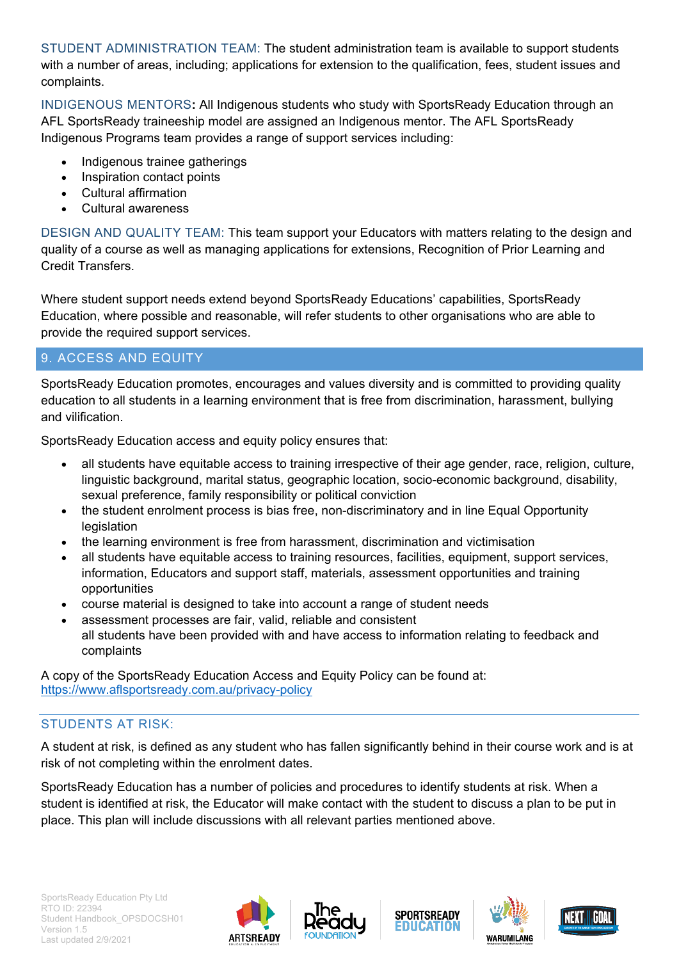STUDENT ADMINISTRATION TEAM: The student administration team is available to support students with a number of areas, including; applications for extension to the qualification, fees, student issues and complaints.

INDIGENOUS MENTORS**:** All Indigenous students who study with SportsReady Education through an AFL SportsReady traineeship model are assigned an Indigenous mentor. The AFL SportsReady Indigenous Programs team provides a range of support services including:

- Indigenous trainee gatherings
- **Inspiration contact points**
- Cultural affirmation
- Cultural awareness

DESIGN AND QUALITY TEAM: This team support your Educators with matters relating to the design and quality of a course as well as managing applications for extensions, Recognition of Prior Learning and Credit Transfers.

Where student support needs extend beyond SportsReady Educations' capabilities, SportsReady Education, where possible and reasonable, will refer students to other organisations who are able to provide the required support services.

# <span id="page-7-0"></span>9. ACCESS AND EQUITY

SportsReady Education promotes, encourages and values diversity and is committed to providing quality education to all students in a learning environment that is free from discrimination, harassment, bullying and vilification.

SportsReady Education access and equity policy ensures that:

- all students have equitable access to training irrespective of their age gender, race, religion, culture, linguistic background, marital status, geographic location, socio-economic background, disability, sexual preference, family responsibility or political conviction
- the student enrolment process is bias free, non-discriminatory and in line Equal Opportunity legislation
- the learning environment is free from harassment, discrimination and victimisation
- all students have equitable access to training resources, facilities, equipment, support services, information, Educators and support staff, materials, assessment opportunities and training opportunities
- course material is designed to take into account a range of student needs
- assessment processes are fair, valid, reliable and consistent all students have been provided with and have access to information relating to feedback and complaints

A copy of the SportsReady Education Access and Equity Policy can be found at: <https://www.aflsportsready.com.au/privacy-policy>

# <span id="page-7-1"></span>STUDENTS AT RISK:

A student at risk, is defined as any student who has fallen significantly behind in their course work and is at risk of not completing within the enrolment dates.

SportsReady Education has a number of policies and procedures to identify students at risk. When a student is identified at risk, the Educator will make contact with the student to discuss a plan to be put in place. This plan will include discussions with all relevant parties mentioned above.









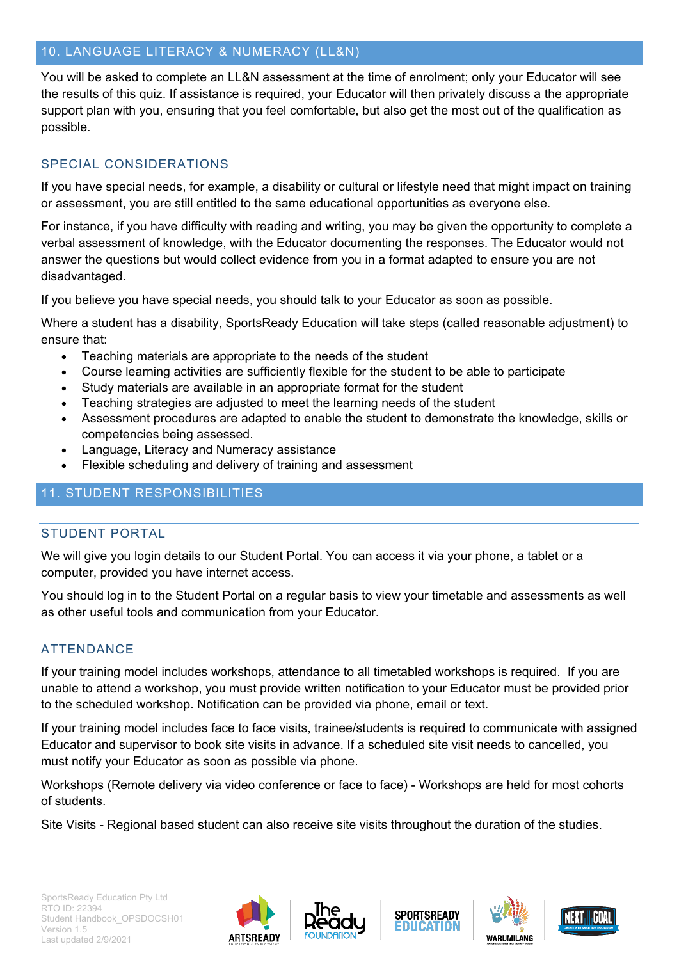# <span id="page-8-0"></span>10. LANGUAGE LITERACY & NUMERACY (LL&N)

You will be asked to complete an LL&N assessment at the time of enrolment; only your Educator will see the results of this quiz. If assistance is required, your Educator will then privately discuss a the appropriate support plan with you, ensuring that you feel comfortable, but also get the most out of the qualification as possible.

# <span id="page-8-1"></span>SPECIAL CONSIDERATIONS

If you have special needs, for example, a disability or cultural or lifestyle need that might impact on training or assessment, you are still entitled to the same educational opportunities as everyone else.

For instance, if you have difficulty with reading and writing, you may be given the opportunity to complete a verbal assessment of knowledge, with the Educator documenting the responses. The Educator would not answer the questions but would collect evidence from you in a format adapted to ensure you are not disadvantaged.

If you believe you have special needs, you should talk to your Educator as soon as possible.

Where a student has a disability, SportsReady Education will take steps (called reasonable adjustment) to ensure that:

- Teaching materials are appropriate to the needs of the student
- Course learning activities are sufficiently flexible for the student to be able to participate
- Study materials are available in an appropriate format for the student
- Teaching strategies are adjusted to meet the learning needs of the student
- Assessment procedures are adapted to enable the student to demonstrate the knowledge, skills or competencies being assessed.
- Language, Literacy and Numeracy assistance
- Flexible scheduling and delivery of training and assessment

# <span id="page-8-2"></span>11. STUDENT RESPONSIBILITIES

### <span id="page-8-3"></span>STUDENT PORTAL

We will give you login details to our Student Portal. You can access it via your phone, a tablet or a computer, provided you have internet access.

You should log in to the Student Portal on a regular basis to view your timetable and assessments as well as other useful tools and communication from your Educator.

#### <span id="page-8-4"></span>ATTENDANCE

If your training model includes workshops, attendance to all timetabled workshops is required. If you are unable to attend a workshop, you must provide written notification to your Educator must be provided prior to the scheduled workshop. Notification can be provided via phone, email or text.

If your training model includes face to face visits, trainee/students is required to communicate with assigned Educator and supervisor to book site visits in advance. If a scheduled site visit needs to cancelled, you must notify your Educator as soon as possible via phone.

Workshops (Remote delivery via video conference or face to face) - Workshops are held for most cohorts of students.

Site Visits - Regional based student can also receive site visits throughout the duration of the studies.







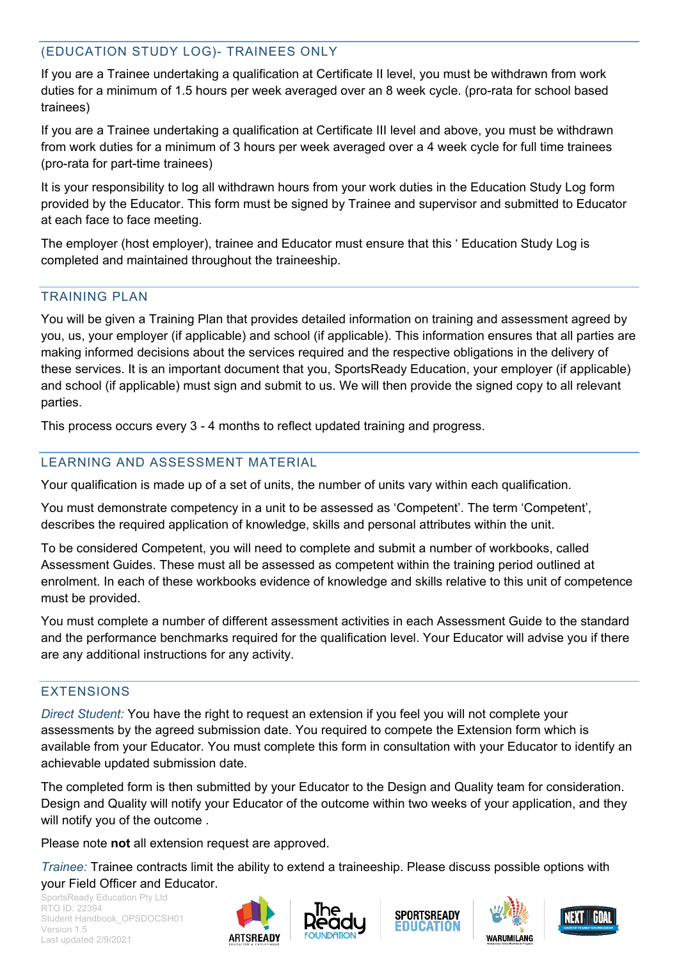# <span id="page-9-0"></span>(EDUCATION STUDY LOG)- TRAINEES ONLY

If you are a Trainee undertaking a qualification at Certificate II level, you must be withdrawn from work duties for a minimum of 1.5 hours per week averaged over an 8 week cycle. (pro-rata for school based trainees)

If you are a Trainee undertaking a qualification at Certificate III level and above, you must be withdrawn from work duties for a minimum of 3 hours per week averaged over a 4 week cycle for full time trainees (pro-rata for part-time trainees)

It is your responsibility to log all withdrawn hours from your work duties in the Education Study Log form provided by the Educator. This form must be signed by Trainee and supervisor and submitted to Educator at each face to face meeting.

The employer (host employer), trainee and Educator must ensure that this ' Education Study Log is completed and maintained throughout the traineeship.

#### <span id="page-9-1"></span>TRAINING PLAN

You will be given a Training Plan that provides detailed information on training and assessment agreed by you, us, your employer (if applicable) and school (if applicable). This information ensures that all parties are making informed decisions about the services required and the respective obligations in the delivery of these services. It is an important document that you, SportsReady Education, your employer (if applicable) and school (if applicable) must sign and submit to us. We will then provide the signed copy to all relevant parties.

This process occurs every 3 - 4 months to reflect updated training and progress.

# <span id="page-9-2"></span>LEARNING AND ASSESSMENT MATERIAL

Your qualification is made up of a set of units, the number of units vary within each qualification.

You must demonstrate competency in a unit to be assessed as 'Competent'. The term 'Competent', describes the required application of knowledge, skills and personal attributes within the unit.

To be considered Competent, you will need to complete and submit a number of workbooks, called Assessment Guides. These must all be assessed as competent within the training period outlined at enrolment. In each of these workbooks evidence of knowledge and skills relative to this unit of competence must be provided.

You must complete a number of different assessment activities in each Assessment Guide to the standard and the performance benchmarks required for the qualification level. Your Educator will advise you if there are any additional instructions for any activity.

# <span id="page-9-3"></span>EXTENSIONS

*Direct Student:* You have the right to request an extension if you feel you will not complete your assessments by the agreed submission date. You required to compete the Extension form which is available from your Educator. You must complete this form in consultation with your Educator to identify an achievable updated submission date.

The completed form is then submitted by your Educator to the Design and Quality team for consideration. Design and Quality will notify your Educator of the outcome within two weeks of your application, and they will notify you of the outcome .

Please note **not** all extension request are approved.

*Trainee:* Trainee contracts limit the ability to extend a traineeship. Please discuss possible options with your Field Officer and Educator.









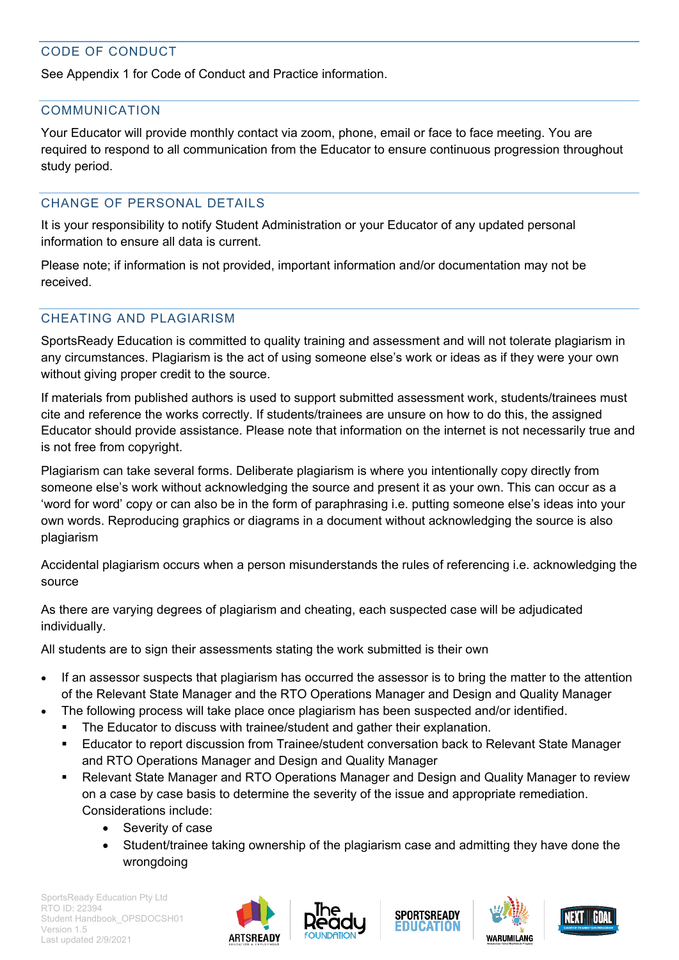# <span id="page-10-0"></span>CODE OF CONDUCT

See Appendix 1 for Code of Conduct and Practice information.

# <span id="page-10-1"></span>COMMUNICATION

Your Educator will provide monthly contact via zoom, phone, email or face to face meeting. You are required to respond to all communication from the Educator to ensure continuous progression throughout study period.

# <span id="page-10-2"></span>CHANGE OF PERSONAL DETAILS

It is your responsibility to notify Student Administration or your Educator of any updated personal information to ensure all data is current.

Please note; if information is not provided, important information and/or documentation may not be received.

# <span id="page-10-3"></span>CHEATING AND PLAGIARISM

SportsReady Education is committed to quality training and assessment and will not tolerate plagiarism in any circumstances. Plagiarism is the act of using someone else's work or ideas as if they were your own without giving proper credit to the source.

If materials from published authors is used to support submitted assessment work, students/trainees must cite and reference the works correctly. If students/trainees are unsure on how to do this, the assigned Educator should provide assistance. Please note that information on the internet is not necessarily true and is not free from copyright.

Plagiarism can take several forms. Deliberate plagiarism is where you intentionally copy directly from someone else's work without acknowledging the source and present it as your own. This can occur as a 'word for word' copy or can also be in the form of paraphrasing i.e. putting someone else's ideas into your own words. Reproducing graphics or diagrams in a document without acknowledging the source is also plagiarism

Accidental plagiarism occurs when a person misunderstands the rules of referencing i.e. acknowledging the source

As there are varying degrees of plagiarism and cheating, each suspected case will be adjudicated individually.

All students are to sign their assessments stating the work submitted is their own

- If an assessor suspects that plagiarism has occurred the assessor is to bring the matter to the attention of the Relevant State Manager and the RTO Operations Manager and Design and Quality Manager
- The following process will take place once plagiarism has been suspected and/or identified.
	- The Educator to discuss with trainee/student and gather their explanation.
	- **Educator to report discussion from Trainee/student conversation back to Relevant State Manager** and RTO Operations Manager and Design and Quality Manager
	- Relevant State Manager and RTO Operations Manager and Design and Quality Manager to review on a case by case basis to determine the severity of the issue and appropriate remediation. Considerations include:
		- Severity of case
		- Student/trainee taking ownership of the plagiarism case and admitting they have done the wrongdoing







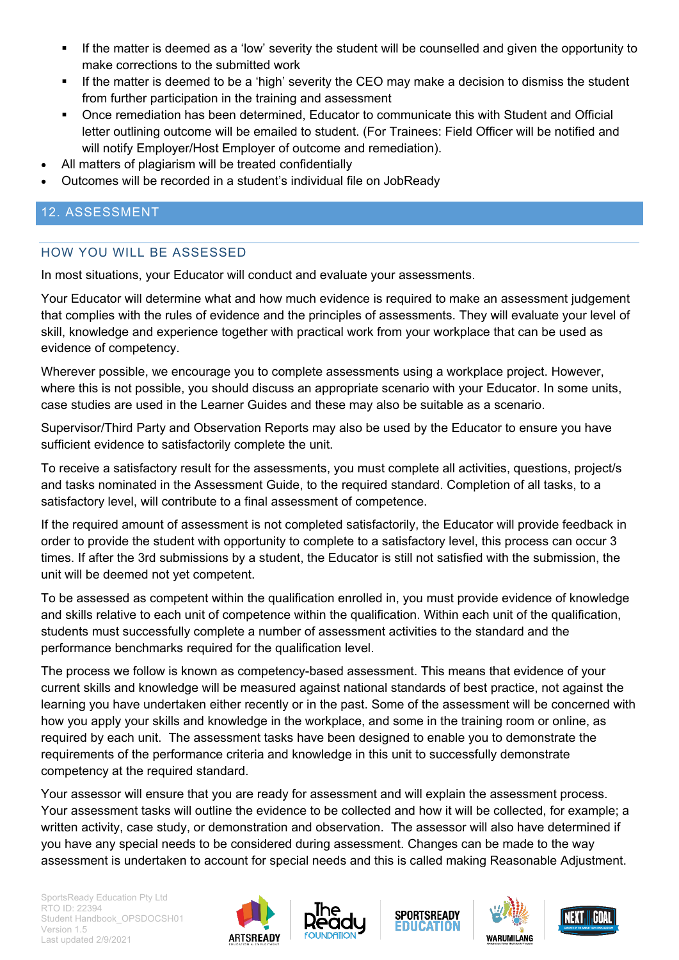- If the matter is deemed as a 'low' severity the student will be counselled and given the opportunity to make corrections to the submitted work
- If the matter is deemed to be a 'high' severity the CEO may make a decision to dismiss the student from further participation in the training and assessment
- Once remediation has been determined, Educator to communicate this with Student and Official letter outlining outcome will be emailed to student. (For Trainees: Field Officer will be notified and will notify Employer/Host Employer of outcome and remediation).
- All matters of plagiarism will be treated confidentially
- Outcomes will be recorded in a student's individual file on JobReady

# <span id="page-11-0"></span>12. ASSESSMENT

# <span id="page-11-1"></span>HOW YOU WILL BE ASSESSED

In most situations, your Educator will conduct and evaluate your assessments.

Your Educator will determine what and how much evidence is required to make an assessment judgement that complies with the rules of evidence and the principles of assessments. They will evaluate your level of skill, knowledge and experience together with practical work from your workplace that can be used as evidence of competency.

Wherever possible, we encourage you to complete assessments using a workplace project. However, where this is not possible, you should discuss an appropriate scenario with your Educator. In some units, case studies are used in the Learner Guides and these may also be suitable as a scenario.

Supervisor/Third Party and Observation Reports may also be used by the Educator to ensure you have sufficient evidence to satisfactorily complete the unit.

To receive a satisfactory result for the assessments, you must complete all activities, questions, project/s and tasks nominated in the Assessment Guide, to the required standard. Completion of all tasks, to a satisfactory level, will contribute to a final assessment of competence.

If the required amount of assessment is not completed satisfactorily, the Educator will provide feedback in order to provide the student with opportunity to complete to a satisfactory level, this process can occur 3 times. If after the 3rd submissions by a student, the Educator is still not satisfied with the submission, the unit will be deemed not yet competent.

To be assessed as competent within the qualification enrolled in, you must provide evidence of knowledge and skills relative to each unit of competence within the qualification. Within each unit of the qualification, students must successfully complete a number of assessment activities to the standard and the performance benchmarks required for the qualification level.

The process we follow is known as competency-based assessment. This means that evidence of your current skills and knowledge will be measured against national standards of best practice, not against the learning you have undertaken either recently or in the past. Some of the assessment will be concerned with how you apply your skills and knowledge in the workplace, and some in the training room or online, as required by each unit. The assessment tasks have been designed to enable you to demonstrate the requirements of the performance criteria and knowledge in this unit to successfully demonstrate competency at the required standard.

Your assessor will ensure that you are ready for assessment and will explain the assessment process. Your assessment tasks will outline the evidence to be collected and how it will be collected, for example; a written activity, case study, or demonstration and observation. The assessor will also have determined if you have any special needs to be considered during assessment. Changes can be made to the way assessment is undertaken to account for special needs and this is called making Reasonable Adjustment.









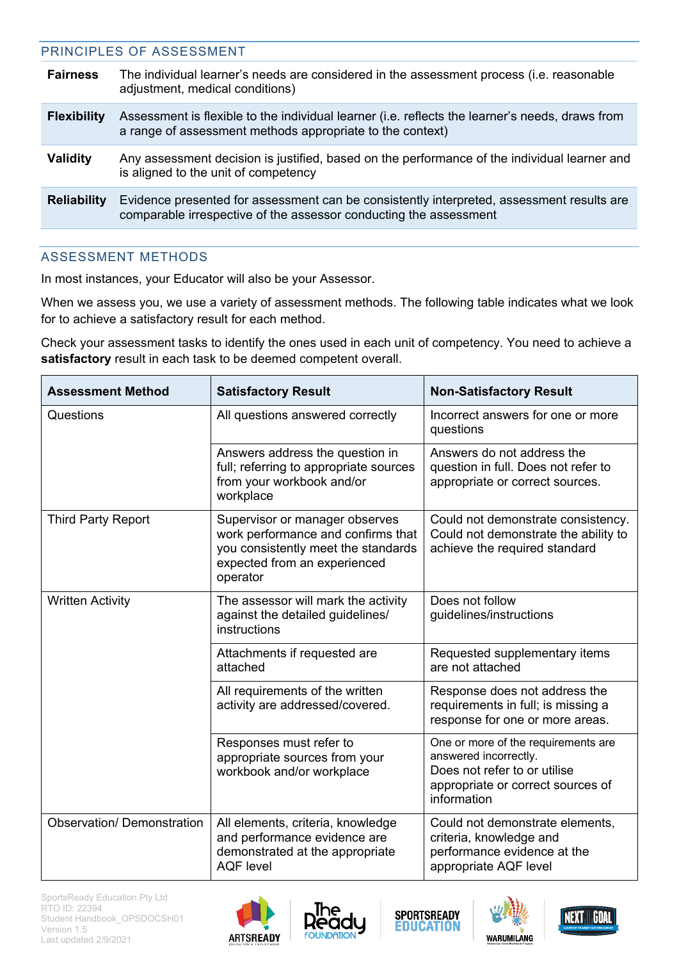<span id="page-12-0"></span>

| PRINCIPLES OF ASSESSMENT                                                                                                                                       |
|----------------------------------------------------------------------------------------------------------------------------------------------------------------|
| The individual learner's needs are considered in the assessment process (i.e. reasonable<br>adjustment, medical conditions)                                    |
| Assessment is flexible to the individual learner (i.e. reflects the learner's needs, draws from<br>a range of assessment methods appropriate to the context)   |
| Any assessment decision is justified, based on the performance of the individual learner and<br>is aligned to the unit of competency                           |
| Evidence presented for assessment can be consistently interpreted, assessment results are<br>comparable irrespective of the assessor conducting the assessment |
|                                                                                                                                                                |

# <span id="page-12-1"></span>ASSESSMENT METHODS

In most instances, your Educator will also be your Assessor.

When we assess you, we use a variety of assessment methods. The following table indicates what we look for to achieve a satisfactory result for each method.

Check your assessment tasks to identify the ones used in each unit of competency. You need to achieve a **satisfactory** result in each task to be deemed competent overall.

| <b>Assessment Method</b>          | <b>Satisfactory Result</b>                                                                                                                              | <b>Non-Satisfactory Result</b>                                                                                                                   |
|-----------------------------------|---------------------------------------------------------------------------------------------------------------------------------------------------------|--------------------------------------------------------------------------------------------------------------------------------------------------|
| Questions                         | All questions answered correctly                                                                                                                        | Incorrect answers for one or more<br>questions                                                                                                   |
|                                   | Answers address the question in<br>full; referring to appropriate sources<br>from your workbook and/or<br>workplace                                     | Answers do not address the<br>question in full. Does not refer to<br>appropriate or correct sources.                                             |
| <b>Third Party Report</b>         | Supervisor or manager observes<br>work performance and confirms that<br>you consistently meet the standards<br>expected from an experienced<br>operator | Could not demonstrate consistency.<br>Could not demonstrate the ability to<br>achieve the required standard                                      |
| <b>Written Activity</b>           | The assessor will mark the activity<br>against the detailed guidelines/<br>instructions                                                                 | Does not follow<br>guidelines/instructions                                                                                                       |
|                                   | Attachments if requested are<br>attached                                                                                                                | Requested supplementary items<br>are not attached                                                                                                |
|                                   | All requirements of the written<br>activity are addressed/covered.                                                                                      | Response does not address the<br>requirements in full; is missing a<br>response for one or more areas.                                           |
|                                   | Responses must refer to<br>appropriate sources from your<br>workbook and/or workplace                                                                   | One or more of the requirements are<br>answered incorrectly.<br>Does not refer to or utilise<br>appropriate or correct sources of<br>information |
| <b>Observation/ Demonstration</b> | All elements, criteria, knowledge<br>and performance evidence are<br>demonstrated at the appropriate<br><b>AQF</b> level                                | Could not demonstrate elements,<br>criteria, knowledge and<br>performance evidence at the<br>appropriate AQF level                               |









| NEXT.II.GOA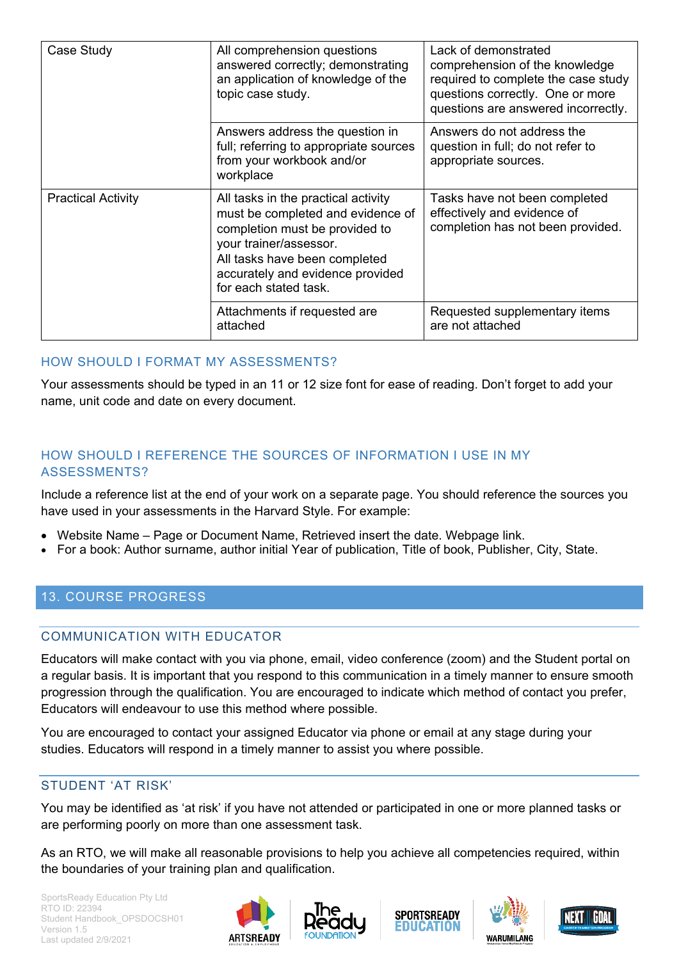| Case Study                | All comprehension questions<br>answered correctly; demonstrating<br>an application of knowledge of the<br>topic case study.                                                                                                        | Lack of demonstrated<br>comprehension of the knowledge<br>required to complete the case study<br>questions correctly. One or more<br>questions are answered incorrectly. |
|---------------------------|------------------------------------------------------------------------------------------------------------------------------------------------------------------------------------------------------------------------------------|--------------------------------------------------------------------------------------------------------------------------------------------------------------------------|
|                           | Answers address the question in<br>full; referring to appropriate sources<br>from your workbook and/or<br>workplace                                                                                                                | Answers do not address the<br>question in full; do not refer to<br>appropriate sources.                                                                                  |
| <b>Practical Activity</b> | All tasks in the practical activity<br>must be completed and evidence of<br>completion must be provided to<br>your trainer/assessor.<br>All tasks have been completed<br>accurately and evidence provided<br>for each stated task. | Tasks have not been completed<br>effectively and evidence of<br>completion has not been provided.                                                                        |
|                           | Attachments if requested are<br>attached                                                                                                                                                                                           | Requested supplementary items<br>are not attached                                                                                                                        |

#### HOW SHOULD I FORMAT MY ASSESSMENTS?

Your assessments should be typed in an 11 or 12 size font for ease of reading. Don't forget to add your name, unit code and date on every document.

#### HOW SHOULD I REFERENCE THE SOURCES OF INFORMATION I USE IN MY ASSESSMENTS?

Include a reference list at the end of your work on a separate page. You should reference the sources you have used in your assessments in the Harvard Style. For example:

- Website Name Page or Document Name, Retrieved insert the date. Webpage link.
- For a book: Author surname, author initial Year of publication, Title of book, Publisher, City, State.

#### <span id="page-13-1"></span><span id="page-13-0"></span>13. COURSE PROGRESS

#### COMMUNICATION WITH EDUCATOR

Educators will make contact with you via phone, email, video conference (zoom) and the Student portal on a regular basis. It is important that you respond to this communication in a timely manner to ensure smooth progression through the qualification. You are encouraged to indicate which method of contact you prefer, Educators will endeavour to use this method where possible.

You are encouraged to contact your assigned Educator via phone or email at any stage during your studies. Educators will respond in a timely manner to assist you where possible.

### <span id="page-13-2"></span>STUDENT 'AT RISK'

You may be identified as 'at risk' if you have not attended or participated in one or more planned tasks or are performing poorly on more than one assessment task.

As an RTO, we will make all reasonable provisions to help you achieve all competencies required, within the boundaries of your training plan and qualification.







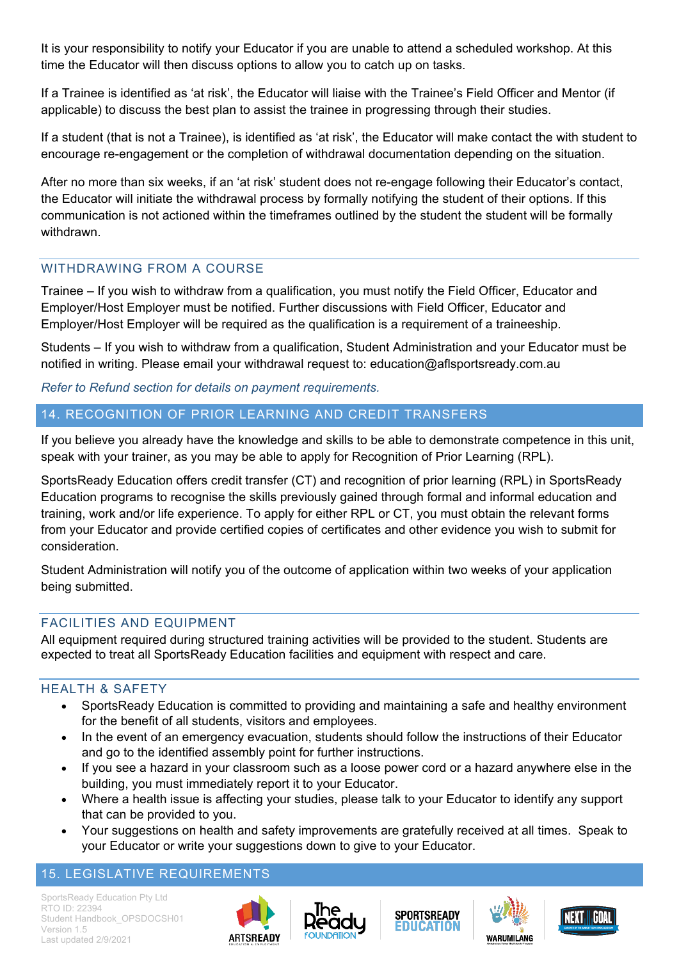It is your responsibility to notify your Educator if you are unable to attend a scheduled workshop. At this time the Educator will then discuss options to allow you to catch up on tasks.

If a Trainee is identified as 'at risk', the Educator will liaise with the Trainee's Field Officer and Mentor (if applicable) to discuss the best plan to assist the trainee in progressing through their studies.

If a student (that is not a Trainee), is identified as 'at risk', the Educator will make contact the with student to encourage re-engagement or the completion of withdrawal documentation depending on the situation.

After no more than six weeks, if an 'at risk' student does not re-engage following their Educator's contact, the Educator will initiate the withdrawal process by formally notifying the student of their options. If this communication is not actioned within the timeframes outlined by the student the student will be formally withdrawn.

# <span id="page-14-0"></span>WITHDRAWING FROM A COURSE

Trainee – If you wish to withdraw from a qualification, you must notify the Field Officer, Educator and Employer/Host Employer must be notified. Further discussions with Field Officer, Educator and Employer/Host Employer will be required as the qualification is a requirement of a traineeship.

Students – If you wish to withdraw from a qualification, Student Administration and your Educator must be notified in writing. Please email your withdrawal request to: education@aflsportsready.com.au

*Refer to Refund section for details on payment requirements.*

# <span id="page-14-1"></span>14. RECOGNITION OF PRIOR LEARNING AND CREDIT TRANSFERS

If you believe you already have the knowledge and skills to be able to demonstrate competence in this unit, speak with your trainer, as you may be able to apply for Recognition of Prior Learning (RPL).

SportsReady Education offers credit transfer (CT) and recognition of prior learning (RPL) in SportsReady Education programs to recognise the skills previously gained through formal and informal education and training, work and/or life experience. To apply for either RPL or CT, you must obtain the relevant forms from your Educator and provide certified copies of certificates and other evidence you wish to submit for consideration.

Student Administration will notify you of the outcome of application within two weeks of your application being submitted.

# <span id="page-14-2"></span>FACILITIES AND EQUIPMENT

All equipment required during structured training activities will be provided to the student. Students are expected to treat all SportsReady Education facilities and equipment with respect and care.

# <span id="page-14-3"></span>HEALTH & SAFETY

- SportsReady Education is committed to providing and maintaining a safe and healthy environment for the benefit of all students, visitors and employees.
- In the event of an emergency evacuation, students should follow the instructions of their Educator and go to the identified assembly point for further instructions.
- If you see a hazard in your classroom such as a loose power cord or a hazard anywhere else in the building, you must immediately report it to your Educator.
- Where a health issue is affecting your studies, please talk to your Educator to identify any support that can be provided to you.
- Your suggestions on health and safety improvements are gratefully received at all times. Speak to your Educator or write your suggestions down to give to your Educator.

# <span id="page-14-4"></span>15. LEGISLATIVE REQUIREMENTS









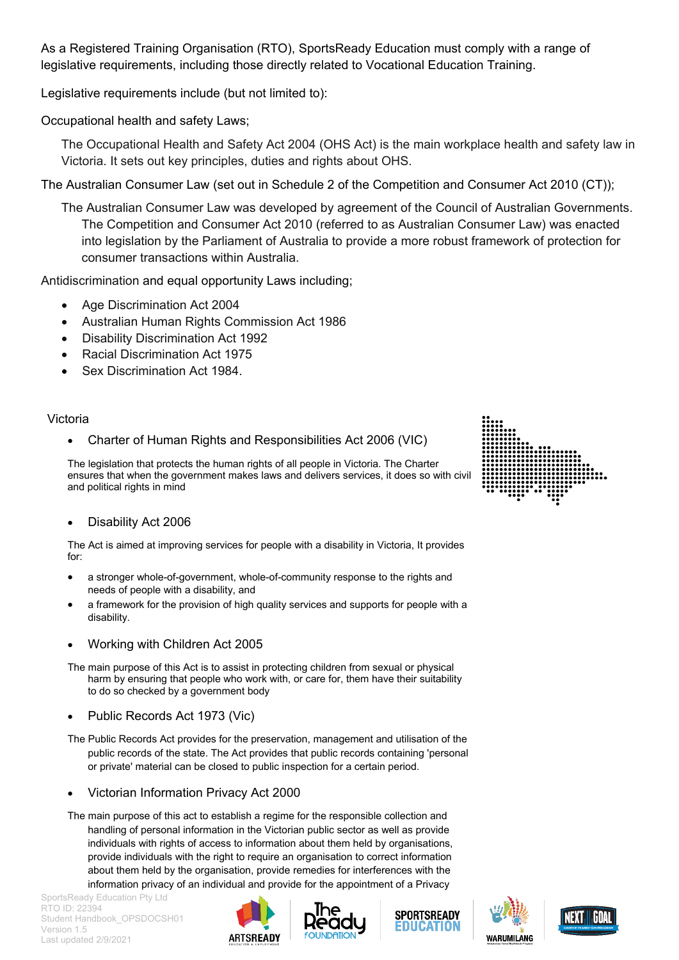As a Registered Training Organisation (RTO), SportsReady Education must comply with a range of legislative requirements, including those directly related to Vocational Education Training.

Legislative requirements include (but not limited to):

Occupational health and safety Laws;

The Occupational Health and Safety Act 2004 (OHS Act) is the main workplace health and safety law in Victoria. It sets out key principles, duties and rights about OHS.

The Australian Consumer Law (set out in Schedule 2 of the Competition and Consumer Act 2010 (CT));

The Australian Consumer Law was developed by agreement of the Council of Australian Governments. The Competition and Consumer Act 2010 (referred to as Australian Consumer Law) was enacted into legislation by the Parliament of Australia to provide a more robust framework of protection for consumer transactions within Australia.

Antidiscrimination and equal opportunity Laws including;

- Age Discrimination Act 2004
- Australian Human Rights Commission Act 1986
- Disability Discrimination Act 1992
- Racial Discrimination Act 1975
- Sex Discrimination Act 1984.

#### Victoria

• Charter of Human Rights and Responsibilities Act 2006 (VIC)

The legislation that protects the human rights of all people in Victoria. The Charter ensures that when the government makes laws and delivers services, it does so with civil and political rights in mind

• Disability Act 2006

The Act is aimed at improving services for people with a disability in Victoria, It provides for:

- a stronger whole-of-government, whole-of-community response to the rights and needs of people with a disability, and
- a framework for the provision of high quality services and supports for people with a disability.
- Working with Children Act 2005
- The main purpose of this Act is to assist in protecting children from sexual or physical harm by ensuring that people who work with, or care for, them have their suitability to do so checked by a government body
- Public Records Act 1973 (Vic)
- The Public Records Act provides for the preservation, management and utilisation of the public records of the state. The Act provides that public records containing 'personal or private' material can be closed to public inspection for a certain period.
- Victorian Information Privacy Act 2000
- The main purpose of this act to establish a regime for the responsible collection and handling of personal information in the Victorian public sector as well as provide individuals with rights of access to information about them held by organisations, provide individuals with the right to require an organisation to correct information about them held by the organisation, provide remedies for interferences with the information privacy of an individual and provide for the appointment of a Privacy











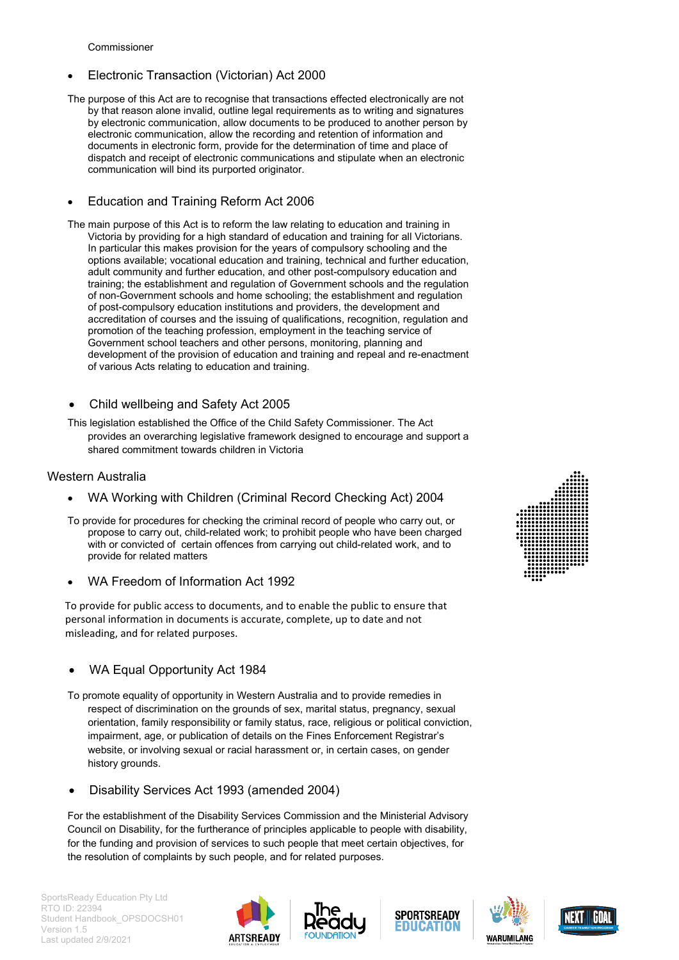Commissioner

- Electronic Transaction (Victorian) Act 2000
- The purpose of this Act are to recognise that transactions effected electronically are not by that reason alone invalid, outline legal requirements as to writing and signatures by electronic communication, allow documents to be produced to another person by electronic communication, allow the recording and retention of information and documents in electronic form, provide for the determination of time and place of dispatch and receipt of electronic communications and stipulate when an electronic communication will bind its purported originator.

#### • Education and Training Reform Act 2006

- The main purpose of this Act is to reform the law relating to education and training in Victoria by providing for a high standard of education and training for all Victorians. In particular this makes provision for the years of compulsory schooling and the options available; vocational education and training, technical and further education, adult community and further education, and other post-compulsory education and training; the establishment and regulation of Government schools and the regulation of non-Government schools and home schooling; the establishment and regulation of post-compulsory education institutions and providers, the development and accreditation of courses and the issuing of qualifications, recognition, regulation and promotion of the teaching profession, employment in the teaching service of Government school teachers and other persons, monitoring, planning and development of the provision of education and training and repeal and re-enactment of various Acts relating to education and training.
- Child wellbeing and Safety Act 2005
- This legislation established the Office of the Child Safety Commissioner. The Act provides an overarching legislative framework designed to encourage and support a shared commitment towards children in Victoria

#### Western Australia

- WA Working with Children (Criminal Record Checking Act) 2004
- To provide for procedures for checking the criminal record of people who carry out, or propose to carry out, child-related work; to prohibit people who have been charged with or convicted of certain offences from carrying out child-related work, and to provide for related matters
- WA Freedom of Information Act 1992

To provide for public access to documents, and to enable the public to ensure that personal information in documents is accurate, complete, up to date and not misleading, and for related purposes.

#### WA Equal Opportunity Act 1984

- To promote equality of opportunity in Western Australia and to provide remedies in respect of discrimination on the grounds of sex, marital status, pregnancy, sexual orientation, family responsibility or family status, race, religious or political conviction, impairment, age, or publication of details on the Fines Enforcement Registrar's website, or involving sexual or racial harassment or, in certain cases, on gender history grounds.
- Disability Services Act 1993 (amended 2004)

For the establishment of the Disability Services Commission and the Ministerial Advisory Council on Disability, for the furtherance of principles applicable to people with disability, for the funding and provision of services to such people that meet certain objectives, for the resolution of complaints by such people, and for related purposes.











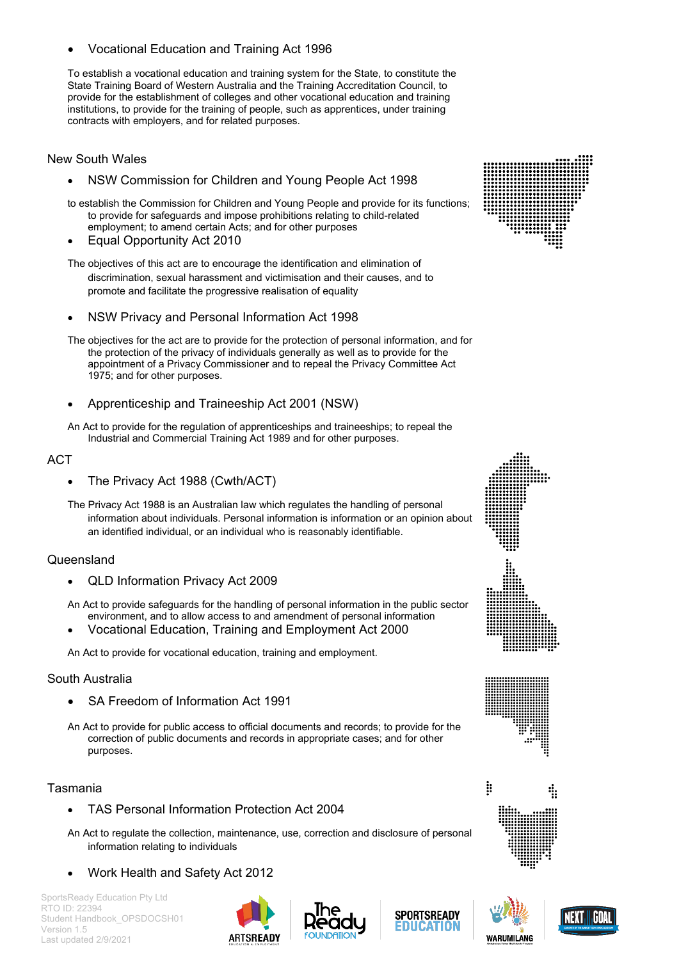• Vocational Education and Training Act 1996

To establish a vocational education and training system for the State, to constitute the State Training Board of Western Australia and the Training Accreditation Council, to provide for the establishment of colleges and other vocational education and training institutions, to provide for the training of people, such as apprentices, under training contracts with employers, and for related purposes.

#### New South Wales

• NSW Commission for Children and Young People Act 1998

to establish the Commission for Children and Young People and provide for its functions; to provide for safeguards and impose prohibitions relating to child-related employment; to amend certain Acts; and for other purposes

• Equal Opportunity Act 2010

The objectives of this act are to encourage the identification and elimination of discrimination, sexual harassment and victimisation and their causes, and to promote and facilitate the progressive realisation of equality

• NSW Privacy and Personal Information Act 1998

The objectives for the act are to provide for the protection of personal information, and for the protection of the privacy of individuals generally as well as to provide for the appointment of a Privacy Commissioner and to repeal the Privacy Committee Act 1975; and for other purposes.

• Apprenticeship and Traineeship Act 2001 (NSW)

An Act to provide for the regulation of apprenticeships and traineeships; to repeal the Industrial and Commercial Training Act 1989 and for other purposes.

#### **ACT**

• The Privacy Act 1988 (Cwth/ACT)

The Privacy Act 1988 is an Australian law which regulates the handling of personal information about individuals. Personal information is information or an opinion about an identified individual, or an individual who is reasonably identifiable.

#### **Queensland**

- QLD Information Privacy Act 2009
- An Act to provide safeguards for the handling of personal information in the public sector environment, and to allow access to and amendment of personal information
- Vocational Education, Training and Employment Act 2000

An Act to provide for vocational education, training and employment.

#### South Australia

- SA Freedom of Information Act 1991
- An Act to provide for public access to official documents and records; to provide for the correction of public documents and records in appropriate cases; and for other purposes.

#### Tasmania

- TAS Personal Information Protection Act 2004
- An Act to regulate the collection, maintenance, use, correction and disclosure of personal information relating to individuals
- Work Health and Safety Act 2012

SportsReady Education Pty Ltd RTO ID: 22394 Student Handbook\_OPSDOCSH01 Version 1.5 Last updated 2/9/2021

















4

Þ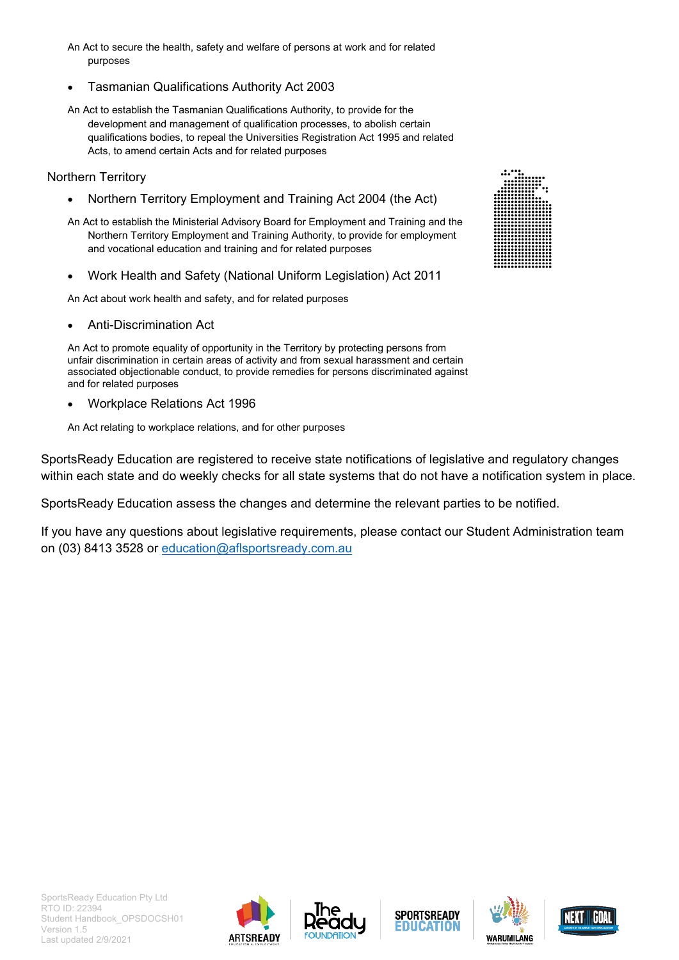- An Act to secure the health, safety and welfare of persons at work and for related purposes
- [Tasmanian Qualifications Authority Act 2003](http://www.thelaw.tas.gov.au/tocview/index.w3p;cond=all;doc_id=62%2B%2B2003%2BAT%40EN%2B20120227000000;histon=;prompt=;rec=;term=tasmanian%20qualifications)
- An Act to establish the Tasmanian Qualifications Authority, to provide for the development and management of qualification processes, to abolish certain qualifications bodies, to repeal the Universities Registration Act 1995 and related Acts, to amend certain Acts and for related purposes

#### Northern Territory

- Northern Territory Employment and Training Act 2004 (the Act)
- An Act to establish the Ministerial Advisory Board for Employment and Training and the Northern Territory Employment and Training Authority, to provide for employment and vocational education and training and for related purposes
- Work Health and Safety (National Uniform Legislation) Act 2011

An Act about work health and safety, and for related purposes

• Anti-Discrimination Act

An Act to promote equality of opportunity in the Territory by protecting persons from unfair discrimination in certain areas of activity and from sexual harassment and certain associated objectionable conduct, to provide remedies for persons discriminated against and for related purposes

• Workplace Relations Act 1996

An Act relating to workplace relations, and for other purposes

SportsReady Education are registered to receive state notifications of legislative and regulatory changes within each state and do weekly checks for all state systems that do not have a notification system in place.

SportsReady Education assess the changes and determine the relevant parties to be notified.

If you have any questions about legislative requirements, please contact our Student Administration team on (03) 8413 3528 or [education@aflsportsready.com.au](mailto:education@aflsportsready.com.au)











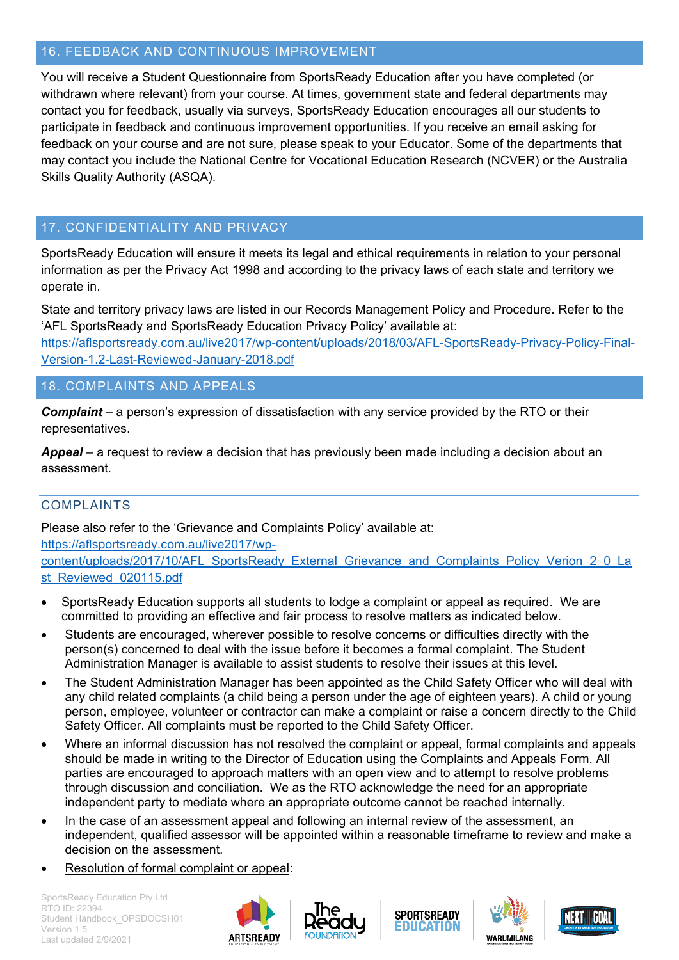# <span id="page-19-0"></span>16. FEEDBACK AND CONTINUOUS IMPROVEMENT

You will receive a Student Questionnaire from SportsReady Education after you have completed (or withdrawn where relevant) from your course. At times, government state and federal departments may contact you for feedback, usually via surveys, SportsReady Education encourages all our students to participate in feedback and continuous improvement opportunities. If you receive an email asking for feedback on your course and are not sure, please speak to your Educator. Some of the departments that may contact you include the National Centre for Vocational Education Research (NCVER) or the Australia Skills Quality Authority (ASQA).

# <span id="page-19-1"></span>17. CONFIDENTIALITY AND PRIVACY

SportsReady Education will ensure it meets its legal and ethical requirements in relation to your personal information as per the Privacy Act 1998 and according to the privacy laws of each state and territory we operate in.

State and territory privacy laws are listed in our Records Management Policy and Procedure. Refer to the 'AFL SportsReady and SportsReady Education Privacy Policy' available at:

[https://aflsportsready.com.au/live2017/wp-content/uploads/2018/03/AFL-SportsReady-Privacy-Policy-Final-](https://aflsportsready.com.au/live2017/wp-content/uploads/2018/03/AFL-SportsReady-Privacy-Policy-Final-Version-1.2-Last-Reviewed-January-2018.pdf)[Version-1.2-Last-Reviewed-January-2018.pdf](https://aflsportsready.com.au/live2017/wp-content/uploads/2018/03/AFL-SportsReady-Privacy-Policy-Final-Version-1.2-Last-Reviewed-January-2018.pdf)

# <span id="page-19-2"></span>18. COMPLAINTS AND APPEALS

*Complaint* – a person's expression of dissatisfaction with any service provided by the RTO or their representatives.

*Appeal* – a request to review a decision that has previously been made including a decision about an assessment.

# <span id="page-19-3"></span>COMPLAINTS

Please also refer to the 'Grievance and Complaints Policy' available at:

[https://aflsportsready.com.au/live2017/wp](https://aflsportsready.com.au/live2017/wp-content/uploads/2017/10/AFL_SportsReady_External_Grievance_and_Complaints_Policy_Verion_2_0_Last_Reviewed_020115.pdf)[content/uploads/2017/10/AFL\\_SportsReady\\_External\\_Grievance\\_and\\_Complaints\\_Policy\\_Verion\\_2\\_0\\_La](https://aflsportsready.com.au/live2017/wp-content/uploads/2017/10/AFL_SportsReady_External_Grievance_and_Complaints_Policy_Verion_2_0_Last_Reviewed_020115.pdf) [st\\_Reviewed\\_020115.pdf](https://aflsportsready.com.au/live2017/wp-content/uploads/2017/10/AFL_SportsReady_External_Grievance_and_Complaints_Policy_Verion_2_0_Last_Reviewed_020115.pdf)

- SportsReady Education supports all students to lodge a complaint or appeal as required. We are committed to providing an effective and fair process to resolve matters as indicated below.
- Students are encouraged, wherever possible to resolve concerns or difficulties directly with the person(s) concerned to deal with the issue before it becomes a formal complaint. The Student Administration Manager is available to assist students to resolve their issues at this level.
- The Student Administration Manager has been appointed as the Child Safety Officer who will deal with any child related complaints (a child being a person under the age of eighteen years). A child or young person, employee, volunteer or contractor can make a complaint or raise a concern directly to the Child Safety Officer. All complaints must be reported to the Child Safety Officer.
- Where an informal discussion has not resolved the complaint or appeal, formal complaints and appeals should be made in writing to the Director of Education using the Complaints and Appeals Form. All parties are encouraged to approach matters with an open view and to attempt to resolve problems through discussion and conciliation. We as the RTO acknowledge the need for an appropriate independent party to mediate where an appropriate outcome cannot be reached internally.
- In the case of an assessment appeal and following an internal review of the assessment, an independent, qualified assessor will be appointed within a reasonable timeframe to review and make a decision on the assessment.
- Resolution of formal complaint or appeal:









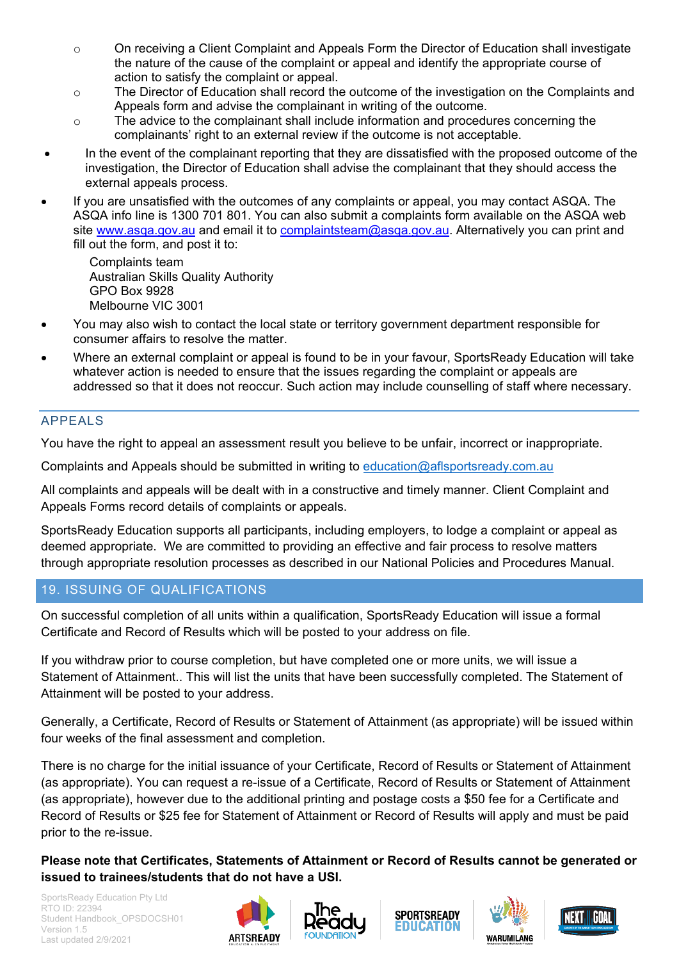- o On receiving a Client Complaint and Appeals Form the Director of Education shall investigate the nature of the cause of the complaint or appeal and identify the appropriate course of action to satisfy the complaint or appeal.
- o The Director of Education shall record the outcome of the investigation on the Complaints and Appeals form and advise the complainant in writing of the outcome.
- $\circ$  The advice to the complainant shall include information and procedures concerning the complainants' right to an external review if the outcome is not acceptable.
- In the event of the complainant reporting that they are dissatisfied with the proposed outcome of the investigation, the Director of Education shall advise the complainant that they should access the external appeals process.
- If you are unsatisfied with the outcomes of any complaints or appeal, you may contact ASQA. The ASQA info line is 1300 701 801. You can also submit a complaints form available on the ASQA web site [www.asqa.gov.au](http://www.asqa.gov.au/) and email it to [complaintsteam@asqa.gov.au.](mailto:complaintsteam@asqa.gov.au) Alternatively you can print and fill out the form, and post it to:

Complaints team Australian Skills Quality Authority GPO Box 9928 Melbourne VIC 3001

- You may also wish to contact the local state or territory government department responsible for consumer affairs to resolve the matter.
- Where an external complaint or appeal is found to be in your favour, SportsReady Education will take whatever action is needed to ensure that the issues regarding the complaint or appeals are addressed so that it does not reoccur. Such action may include counselling of staff where necessary.

# <span id="page-20-0"></span>APPEALS

You have the right to appeal an assessment result you believe to be unfair, incorrect or inappropriate.

Complaints and Appeals should be submitted in writing to [education@aflsportsready.com.au](mailto:education@aflsportsready.com.au)

All complaints and appeals will be dealt with in a constructive and timely manner. Client Complaint and Appeals Forms record details of complaints or appeals.

SportsReady Education supports all participants, including employers, to lodge a complaint or appeal as deemed appropriate. We are committed to providing an effective and fair process to resolve matters through appropriate resolution processes as described in our National Policies and Procedures Manual.

# <span id="page-20-1"></span>19. ISSUING OF QUALIFICATIONS

On successful completion of all units within a qualification, SportsReady Education will issue a formal Certificate and Record of Results which will be posted to your address on file.

If you withdraw prior to course completion, but have completed one or more units, we will issue a Statement of Attainment.. This will list the units that have been successfully completed. The Statement of Attainment will be posted to your address.

Generally, a Certificate, Record of Results or Statement of Attainment (as appropriate) will be issued within four weeks of the final assessment and completion.

There is no charge for the initial issuance of your Certificate, Record of Results or Statement of Attainment (as appropriate). You can request a re-issue of a Certificate, Record of Results or Statement of Attainment (as appropriate), however due to the additional printing and postage costs a \$50 fee for a Certificate and Record of Results or \$25 fee for Statement of Attainment or Record of Results will apply and must be paid prior to the re-issue.

**Please note that Certificates, Statements of Attainment or Record of Results cannot be generated or issued to trainees/students that do not have a USI.**









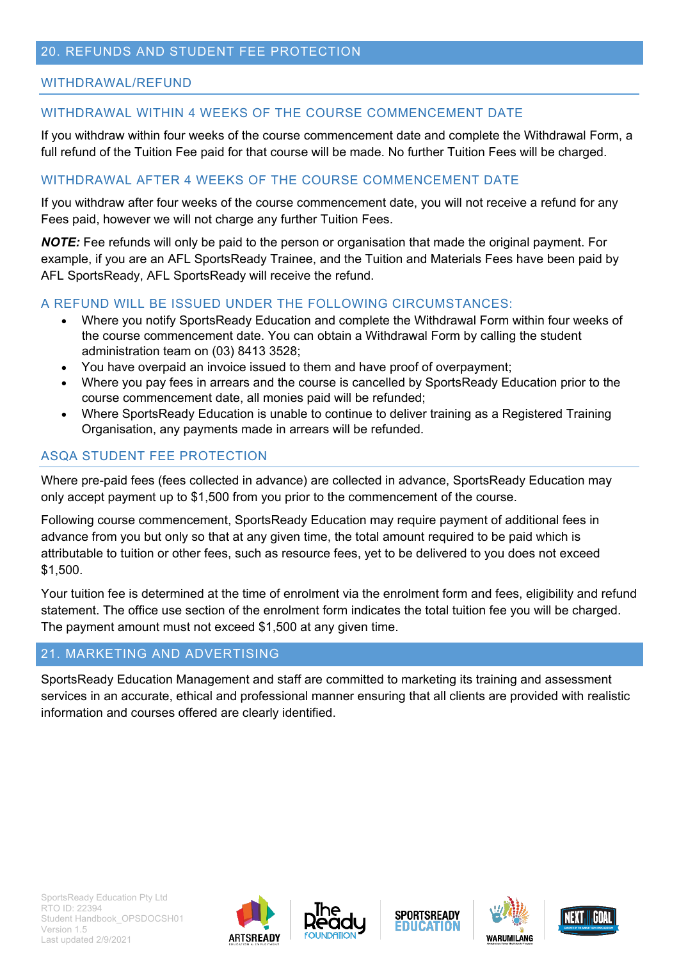# <span id="page-21-0"></span>20. REFUNDS AND STUDENT FEE PROTECTION

#### WITHDRAWAL/REFUND

#### WITHDRAWAL WITHIN 4 WEEKS OF THE COURSE COMMENCEMENT DATE

If you withdraw within four weeks of the course commencement date and complete the Withdrawal Form, a full refund of the Tuition Fee paid for that course will be made. No further Tuition Fees will be charged.

#### WITHDRAWAL AFTER 4 WEEKS OF THE COURSE COMMENCEMENT DATE

If you withdraw after four weeks of the course commencement date, you will not receive a refund for any Fees paid, however we will not charge any further Tuition Fees.

*NOTE:* Fee refunds will only be paid to the person or organisation that made the original payment. For example, if you are an AFL SportsReady Trainee, and the Tuition and Materials Fees have been paid by AFL SportsReady, AFL SportsReady will receive the refund.

#### A REFUND WILL BE ISSUED UNDER THE FOLLOWING CIRCUMSTANCES:

- Where you notify SportsReady Education and complete the Withdrawal Form within four weeks of the course commencement date. You can obtain a Withdrawal Form by calling the student administration team on (03) 8413 3528;
- You have overpaid an invoice issued to them and have proof of overpayment;
- Where you pay fees in arrears and the course is cancelled by SportsReady Education prior to the course commencement date, all monies paid will be refunded;
- Where SportsReady Education is unable to continue to deliver training as a Registered Training Organisation, any payments made in arrears will be refunded.

#### ASQA STUDENT FEE PROTECTION

Where pre-paid fees (fees collected in advance) are collected in advance, SportsReady Education may only accept payment up to \$1,500 from you prior to the commencement of the course.

Following course commencement, SportsReady Education may require payment of additional fees in advance from you but only so that at any given time, the total amount required to be paid which is attributable to tuition or other fees, such as resource fees, yet to be delivered to you does not exceed \$1,500.

Your tuition fee is determined at the time of enrolment via the enrolment form and fees, eligibility and refund statement. The office use section of the enrolment form indicates the total tuition fee you will be charged. The payment amount must not exceed \$1,500 at any given time.

#### <span id="page-21-1"></span>21. MARKETING AND ADVERTISING

SportsReady Education Management and staff are committed to marketing its training and assessment services in an accurate, ethical and professional manner ensuring that all clients are provided with realistic information and courses offered are clearly identified.









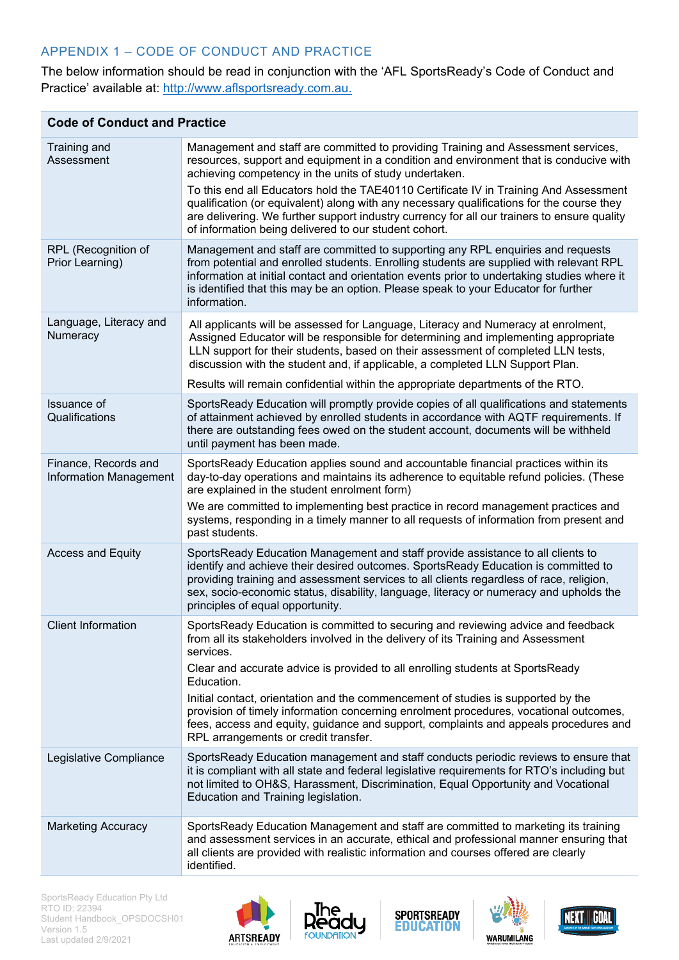# APPENDIX 1 – CODE OF CONDUCT AND PRACTICE

The below information should be read in conjunction with the 'AFL SportsReady's Code of Conduct and Practice' available at: [http://www.aflsportsready.com.au.](http://www.aflsportsready.com.au/)

| <b>Code of Conduct and Practice</b>                   |                                                                                                                                                                                                                                                                                                                                                                                                |
|-------------------------------------------------------|------------------------------------------------------------------------------------------------------------------------------------------------------------------------------------------------------------------------------------------------------------------------------------------------------------------------------------------------------------------------------------------------|
| Training and<br>Assessment                            | Management and staff are committed to providing Training and Assessment services,<br>resources, support and equipment in a condition and environment that is conducive with<br>achieving competency in the units of study undertaken.                                                                                                                                                          |
|                                                       | To this end all Educators hold the TAE40110 Certificate IV in Training And Assessment<br>qualification (or equivalent) along with any necessary qualifications for the course they<br>are delivering. We further support industry currency for all our trainers to ensure quality<br>of information being delivered to our student cohort.                                                     |
| RPL (Recognition of<br>Prior Learning)                | Management and staff are committed to supporting any RPL enquiries and requests<br>from potential and enrolled students. Enrolling students are supplied with relevant RPL<br>information at initial contact and orientation events prior to undertaking studies where it<br>is identified that this may be an option. Please speak to your Educator for further<br>information.               |
| Language, Literacy and<br>Numeracy                    | All applicants will be assessed for Language, Literacy and Numeracy at enrolment,<br>Assigned Educator will be responsible for determining and implementing appropriate<br>LLN support for their students, based on their assessment of completed LLN tests,<br>discussion with the student and, if applicable, a completed LLN Support Plan.                                                  |
|                                                       | Results will remain confidential within the appropriate departments of the RTO.                                                                                                                                                                                                                                                                                                                |
| Issuance of<br>Qualifications                         | SportsReady Education will promptly provide copies of all qualifications and statements<br>of attainment achieved by enrolled students in accordance with AQTF requirements. If<br>there are outstanding fees owed on the student account, documents will be withheld<br>until payment has been made.                                                                                          |
| Finance, Records and<br><b>Information Management</b> | SportsReady Education applies sound and accountable financial practices within its<br>day-to-day operations and maintains its adherence to equitable refund policies. (These<br>are explained in the student enrolment form)                                                                                                                                                                   |
|                                                       | We are committed to implementing best practice in record management practices and<br>systems, responding in a timely manner to all requests of information from present and<br>past students.                                                                                                                                                                                                  |
| <b>Access and Equity</b>                              | SportsReady Education Management and staff provide assistance to all clients to<br>identify and achieve their desired outcomes. SportsReady Education is committed to<br>providing training and assessment services to all clients regardless of race, religion,<br>sex, socio-economic status, disability, language, literacy or numeracy and upholds the<br>principles of equal opportunity. |
| <b>Client Information</b>                             | SportsReady Education is committed to securing and reviewing advice and feedback<br>from all its stakeholders involved in the delivery of its Training and Assessment<br>services.                                                                                                                                                                                                             |
|                                                       | Clear and accurate advice is provided to all enrolling students at SportsReady<br>Education.                                                                                                                                                                                                                                                                                                   |
|                                                       | Initial contact, orientation and the commencement of studies is supported by the<br>provision of timely information concerning enrolment procedures, vocational outcomes,<br>fees, access and equity, guidance and support, complaints and appeals procedures and<br>RPL arrangements or credit transfer.                                                                                      |
| Legislative Compliance                                | SportsReady Education management and staff conducts periodic reviews to ensure that<br>it is compliant with all state and federal legislative requirements for RTO's including but<br>not limited to OH&S, Harassment, Discrimination, Equal Opportunity and Vocational<br>Education and Training legislation.                                                                                 |
| <b>Marketing Accuracy</b>                             | SportsReady Education Management and staff are committed to marketing its training<br>and assessment services in an accurate, ethical and professional manner ensuring that<br>all clients are provided with realistic information and courses offered are clearly<br>identified.                                                                                                              |